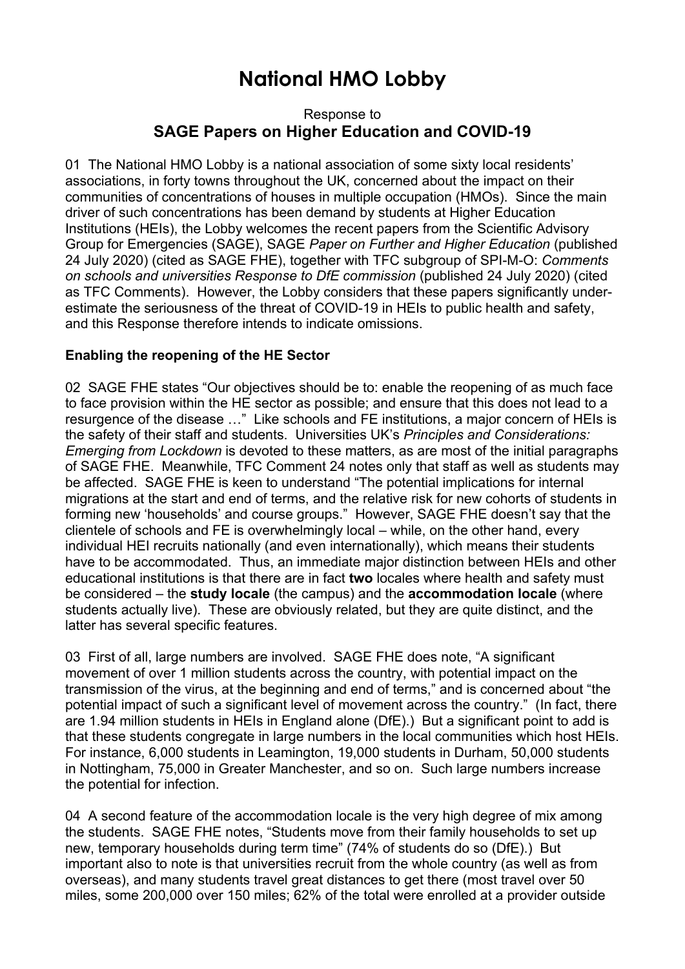# **National HMO Lobby**

## Response to **SAGE Papers on Higher Education and COVID-19**

01 The National HMO Lobby is a national association of some sixty local residents' associations, in forty towns throughout the UK, concerned about the impact on their communities of concentrations of houses in multiple occupation (HMOs). Since the main driver of such concentrations has been demand by students at Higher Education Institutions (HEIs), the Lobby welcomes the recent papers from the Scientific Advisory Group for Emergencies (SAGE), SAGE *Paper on Further and Higher Education* (published 24 July 2020) (cited as SAGE FHE), together with TFC subgroup of SPI-M-O: *Comments on schools and universities Response to DfE commission* (published 24 July 2020) (cited as TFC Comments). However, the Lobby considers that these papers significantly underestimate the seriousness of the threat of COVID-19 in HEIs to public health and safety, and this Response therefore intends to indicate omissions.

# **Enabling the reopening of the HE Sector**

02 SAGE FHE states "Our objectives should be to: enable the reopening of as much face to face provision within the HE sector as possible; and ensure that this does not lead to a resurgence of the disease …" Like schools and FE institutions, a major concern of HEIs is the safety of their staff and students. Universities UK's *Principles and Considerations: Emerging from Lockdown* is devoted to these matters, as are most of the initial paragraphs of SAGE FHE. Meanwhile, TFC Comment 24 notes only that staff as well as students may be affected. SAGE FHE is keen to understand "The potential implications for internal migrations at the start and end of terms, and the relative risk for new cohorts of students in forming new 'households' and course groups." However, SAGE FHE doesn't say that the clientele of schools and FE is overwhelmingly local – while, on the other hand, every individual HEI recruits nationally (and even internationally), which means their students have to be accommodated. Thus, an immediate major distinction between HEIs and other educational institutions is that there are in fact **two** locales where health and safety must be considered – the **study locale** (the campus) and the **accommodation locale** (where students actually live). These are obviously related, but they are quite distinct, and the latter has several specific features.

03 First of all, large numbers are involved. SAGE FHE does note, "A significant movement of over 1 million students across the country, with potential impact on the transmission of the virus, at the beginning and end of terms," and is concerned about "the potential impact of such a significant level of movement across the country." (In fact, there are 1.94 million students in HEIs in England alone (DfE).) But a significant point to add is that these students congregate in large numbers in the local communities which host HEIs. For instance, 6,000 students in Leamington, 19,000 students in Durham, 50,000 students in Nottingham, 75,000 in Greater Manchester, and so on. Such large numbers increase the potential for infection.

04 A second feature of the accommodation locale is the very high degree of mix among the students. SAGE FHE notes, "Students move from their family households to set up new, temporary households during term time" (74% of students do so (DfE).) But important also to note is that universities recruit from the whole country (as well as from overseas), and many students travel great distances to get there (most travel over 50 miles, some 200,000 over 150 miles; 62% of the total were enrolled at a provider outside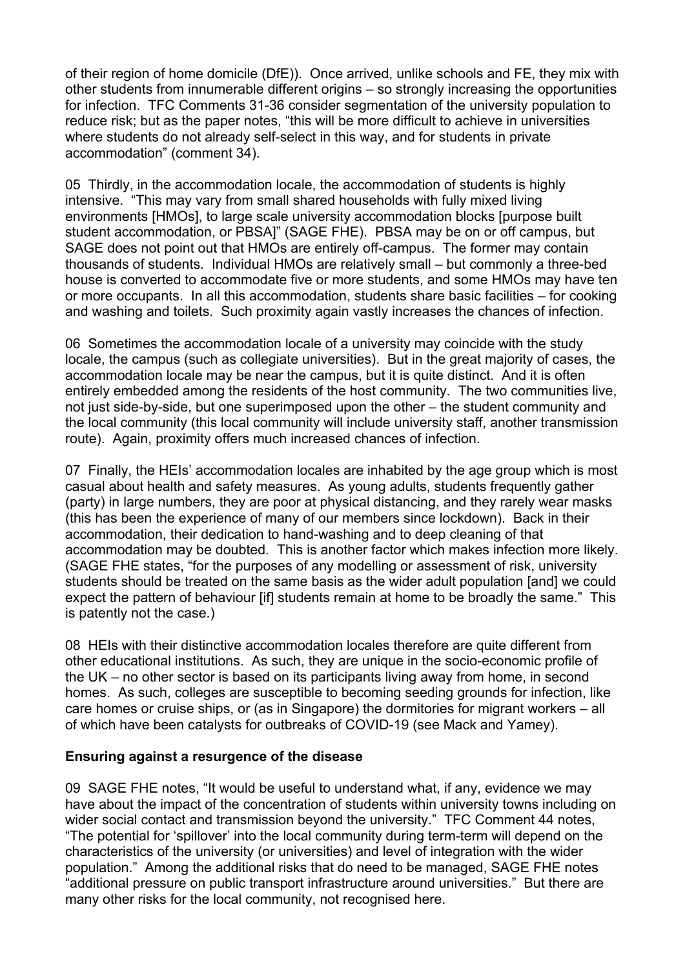of their region of home domicile (DfE)). Once arrived, unlike schools and FE, they mix with other students from innumerable different origins – so strongly increasing the opportunities for infection. TFC Comments 31-36 consider segmentation of the university population to reduce risk; but as the paper notes, "this will be more difficult to achieve in universities where students do not already self-select in this way, and for students in private accommodation" (comment 34).

05 Thirdly, in the accommodation locale, the accommodation of students is highly intensive. "This may vary from small shared households with fully mixed living environments [HMOs], to large scale university accommodation blocks [purpose built student accommodation, or PBSA]" (SAGE FHE). PBSA may be on or off campus, but SAGE does not point out that HMOs are entirely off-campus. The former may contain thousands of students. Individual HMOs are relatively small – but commonly a three-bed house is converted to accommodate five or more students, and some HMOs may have ten or more occupants. In all this accommodation, students share basic facilities – for cooking and washing and toilets. Such proximity again vastly increases the chances of infection.

06 Sometimes the accommodation locale of a university may coincide with the study locale, the campus (such as collegiate universities). But in the great majority of cases, the accommodation locale may be near the campus, but it is quite distinct. And it is often entirely embedded among the residents of the host community. The two communities live, not just side-by-side, but one superimposed upon the other – the student community and the local community (this local community will include university staff, another transmission route). Again, proximity offers much increased chances of infection.

07 Finally, the HEIs' accommodation locales are inhabited by the age group which is most casual about health and safety measures. As young adults, students frequently gather (party) in large numbers, they are poor at physical distancing, and they rarely wear masks (this has been the experience of many of our members since lockdown). Back in their accommodation, their dedication to hand-washing and to deep cleaning of that accommodation may be doubted. This is another factor which makes infection more likely. (SAGE FHE states, "for the purposes of any modelling or assessment of risk, university students should be treated on the same basis as the wider adult population [and] we could expect the pattern of behaviour [if] students remain at home to be broadly the same." This is patently not the case.)

08 HEIs with their distinctive accommodation locales therefore are quite different from other educational institutions. As such, they are unique in the socio-economic profile of the UK – no other sector is based on its participants living away from home, in second homes. As such, colleges are susceptible to becoming seeding grounds for infection, like care homes or cruise ships, or (as in Singapore) the dormitories for migrant workers – all of which have been catalysts for outbreaks of COVID-19 (see Mack and Yamey).

#### **Ensuring against a resurgence of the disease**

09 SAGE FHE notes, "It would be useful to understand what, if any, evidence we may have about the impact of the concentration of students within university towns including on wider social contact and transmission beyond the university." TFC Comment 44 notes, "The potential for 'spillover' into the local community during term-term will depend on the characteristics of the university (or universities) and level of integration with the wider population." Among the additional risks that do need to be managed, SAGE FHE notes "additional pressure on public transport infrastructure around universities." But there are many other risks for the local community, not recognised here.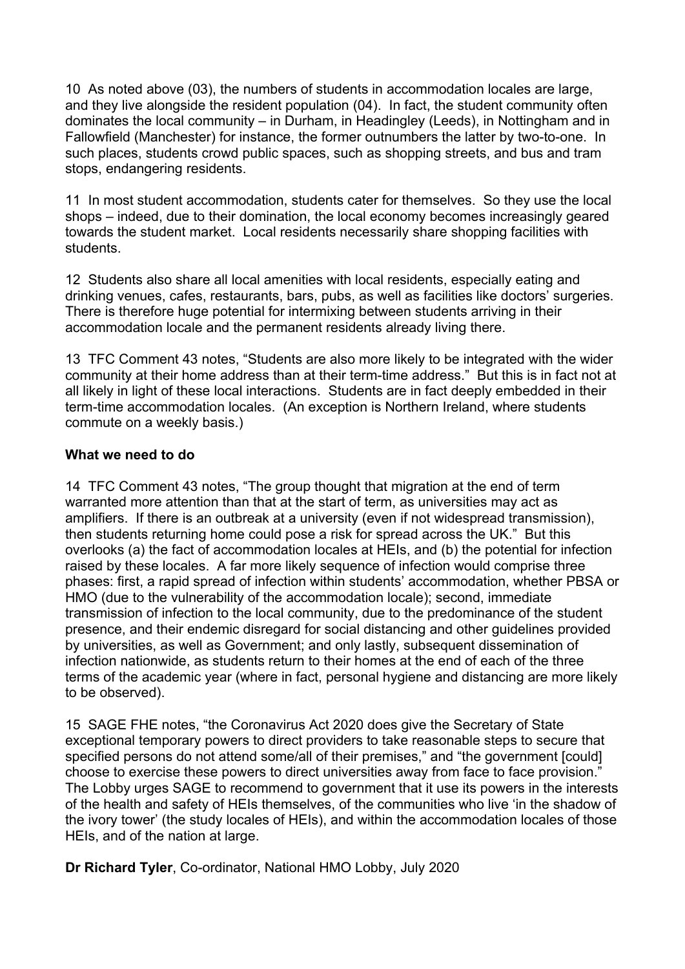10 As noted above (03), the numbers of students in accommodation locales are large, and they live alongside the resident population (04). In fact, the student community often dominates the local community – in Durham, in Headingley (Leeds), in Nottingham and in Fallowfield (Manchester) for instance, the former outnumbers the latter by two-to-one. In such places, students crowd public spaces, such as shopping streets, and bus and tram stops, endangering residents.

11 In most student accommodation, students cater for themselves. So they use the local shops – indeed, due to their domination, the local economy becomes increasingly geared towards the student market. Local residents necessarily share shopping facilities with students.

12 Students also share all local amenities with local residents, especially eating and drinking venues, cafes, restaurants, bars, pubs, as well as facilities like doctors' surgeries. There is therefore huge potential for intermixing between students arriving in their accommodation locale and the permanent residents already living there.

13 TFC Comment 43 notes, "Students are also more likely to be integrated with the wider community at their home address than at their term-time address." But this is in fact not at all likely in light of these local interactions. Students are in fact deeply embedded in their term-time accommodation locales. (An exception is Northern Ireland, where students commute on a weekly basis.)

## **What we need to do**

14 TFC Comment 43 notes, "The group thought that migration at the end of term warranted more attention than that at the start of term, as universities may act as amplifiers. If there is an outbreak at a university (even if not widespread transmission), then students returning home could pose a risk for spread across the UK." But this overlooks (a) the fact of accommodation locales at HEIs, and (b) the potential for infection raised by these locales. A far more likely sequence of infection would comprise three phases: first, a rapid spread of infection within students' accommodation, whether PBSA or HMO (due to the vulnerability of the accommodation locale); second, immediate transmission of infection to the local community, due to the predominance of the student presence, and their endemic disregard for social distancing and other guidelines provided by universities, as well as Government; and only lastly, subsequent dissemination of infection nationwide, as students return to their homes at the end of each of the three terms of the academic year (where in fact, personal hygiene and distancing are more likely to be observed).

15 SAGE FHE notes, "the Coronavirus Act 2020 does give the Secretary of State exceptional temporary powers to direct providers to take reasonable steps to secure that specified persons do not attend some/all of their premises," and "the government [could] choose to exercise these powers to direct universities away from face to face provision." The Lobby urges SAGE to recommend to government that it use its powers in the interests of the health and safety of HEIs themselves, of the communities who live 'in the shadow of the ivory tower' (the study locales of HEIs), and within the accommodation locales of those HEIs, and of the nation at large.

**Dr Richard Tyler**, Co-ordinator, National HMO Lobby, July 2020